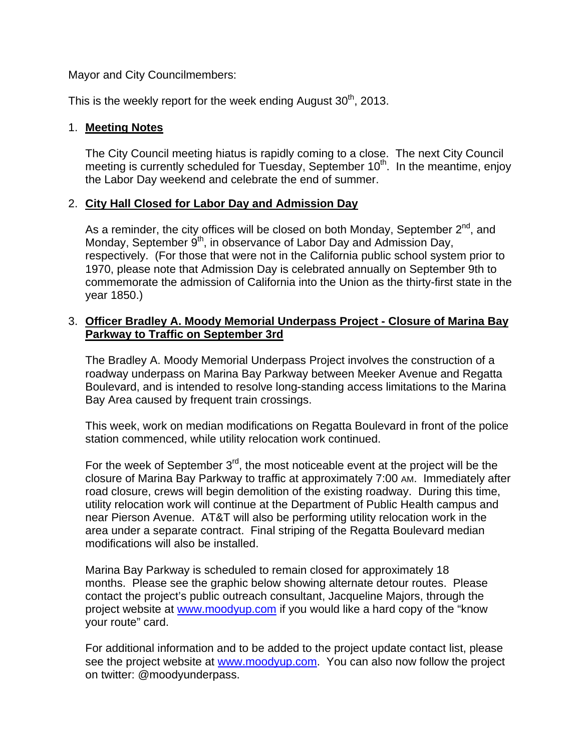Mayor and City Councilmembers:

This is the weekly report for the week ending August  $30<sup>th</sup>$ , 2013.

## 1. **Meeting Notes**

The City Council meeting hiatus is rapidly coming to a close. The next City Council meeting is currently scheduled for Tuesday, September  $10<sup>th</sup>$ . In the meantime, enjoy the Labor Day weekend and celebrate the end of summer.

## 2. **City Hall Closed for Labor Day and Admission Day**

As a reminder, the city offices will be closed on both Monday, September  $2^{nd}$ , and Monday, September  $9<sup>th</sup>$ , in observance of Labor Day and Admission Day, respectively. (For those that were not in the California public school system prior to 1970, please note that Admission Day is celebrated annually on September 9th to commemorate the admission of California into the Union as the thirty-first state in the year 1850.)

## 3. **Officer Bradley A. Moody Memorial Underpass Project - Closure of Marina Bay Parkway to Traffic on September 3rd**

The Bradley A. Moody Memorial Underpass Project involves the construction of a roadway underpass on Marina Bay Parkway between Meeker Avenue and Regatta Boulevard, and is intended to resolve long-standing access limitations to the Marina Bay Area caused by frequent train crossings.

This week, work on median modifications on Regatta Boulevard in front of the police station commenced, while utility relocation work continued.

For the week of September  $3<sup>rd</sup>$ , the most noticeable event at the project will be the closure of Marina Bay Parkway to traffic at approximately 7:00 AM. Immediately after road closure, crews will begin demolition of the existing roadway. During this time, utility relocation work will continue at the Department of Public Health campus and near Pierson Avenue. AT&T will also be performing utility relocation work in the area under a separate contract. Final striping of the Regatta Boulevard median modifications will also be installed.

Marina Bay Parkway is scheduled to remain closed for approximately 18 months. Please see the graphic below showing alternate detour routes. Please contact the project's public outreach consultant, Jacqueline Majors, through the project website at www.moodyup.com if you would like a hard copy of the "know your route" card.

For additional information and to be added to the project update contact list, please see the project website at www.moodyup.com. You can also now follow the project on twitter: @moodyunderpass.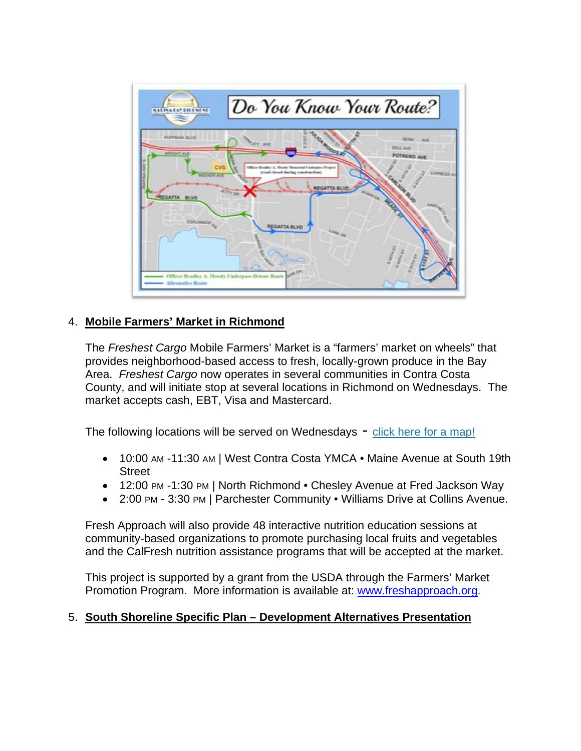

## 4. **Mobile Farmers' Market in Richmond**

The *Freshest Cargo* Mobile Farmers' Market is a "farmers' market on wheels" that provides neighborhood-based access to fresh, locally-grown produce in the Bay Area. *Freshest Cargo* now operates in several communities in Contra Costa County, and will initiate stop at several locations in Richmond on Wednesdays. The market accepts cash, EBT, Visa and Mastercard.

The following locations will be served on Wednesdays - click here for a map!

- 10:00 AM -11:30 AM | West Contra Costa YMCA Maine Avenue at South 19th **Street**
- 12:00 PM -1:30 PM | North Richmond Chesley Avenue at Fred Jackson Way
- 2:00 PM 3:30 PM | Parchester Community Williams Drive at Collins Avenue.

Fresh Approach will also provide 48 interactive nutrition education sessions at community-based organizations to promote purchasing local fruits and vegetables and the CalFresh nutrition assistance programs that will be accepted at the market.

This project is supported by a grant from the USDA through the Farmers' Market Promotion Program. More information is available at: www.freshapproach.org.

#### 5. **South Shoreline Specific Plan – Development Alternatives Presentation**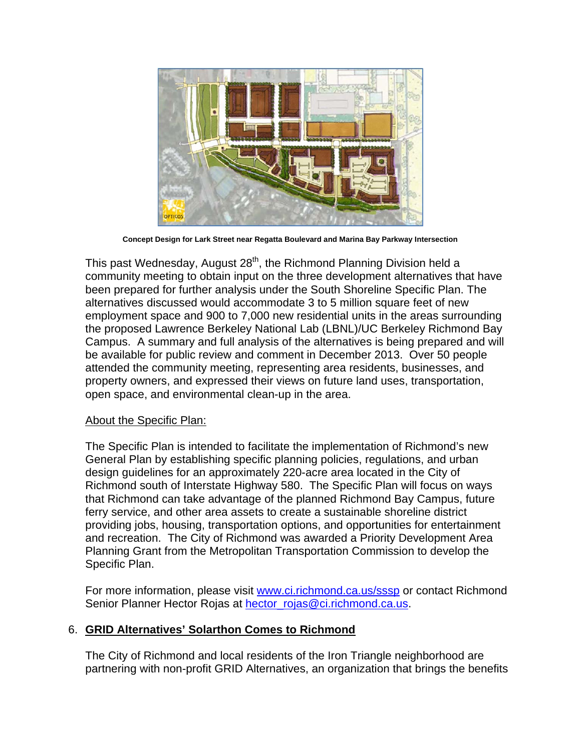

**Concept Design for Lark Street near Regatta Boulevard and Marina Bay Parkway Intersection**

This past Wednesday, August 28<sup>th</sup>, the Richmond Planning Division held a community meeting to obtain input on the three development alternatives that have been prepared for further analysis under the South Shoreline Specific Plan. The alternatives discussed would accommodate 3 to 5 million square feet of new employment space and 900 to 7,000 new residential units in the areas surrounding the proposed Lawrence Berkeley National Lab (LBNL)/UC Berkeley Richmond Bay Campus. A summary and full analysis of the alternatives is being prepared and will be available for public review and comment in December 2013. Over 50 people attended the community meeting, representing area residents, businesses, and property owners, and expressed their views on future land uses, transportation, open space, and environmental clean-up in the area.

#### About the Specific Plan:

The Specific Plan is intended to facilitate the implementation of Richmond's new General Plan by establishing specific planning policies, regulations, and urban design guidelines for an approximately 220-acre area located in the City of Richmond south of Interstate Highway 580. The Specific Plan will focus on ways that Richmond can take advantage of the planned Richmond Bay Campus, future ferry service, and other area assets to create a sustainable shoreline district providing jobs, housing, transportation options, and opportunities for entertainment and recreation. The City of Richmond was awarded a Priority Development Area Planning Grant from the Metropolitan Transportation Commission to develop the Specific Plan.

For more information, please visit www.ci.richmond.ca.us/sssp or contact Richmond Senior Planner Hector Rojas at hector\_rojas@ci.richmond.ca.us.

#### 6. **GRID Alternatives' Solarthon Comes to Richmond**

The City of Richmond and local residents of the Iron Triangle neighborhood are partnering with non-profit GRID Alternatives, an organization that brings the benefits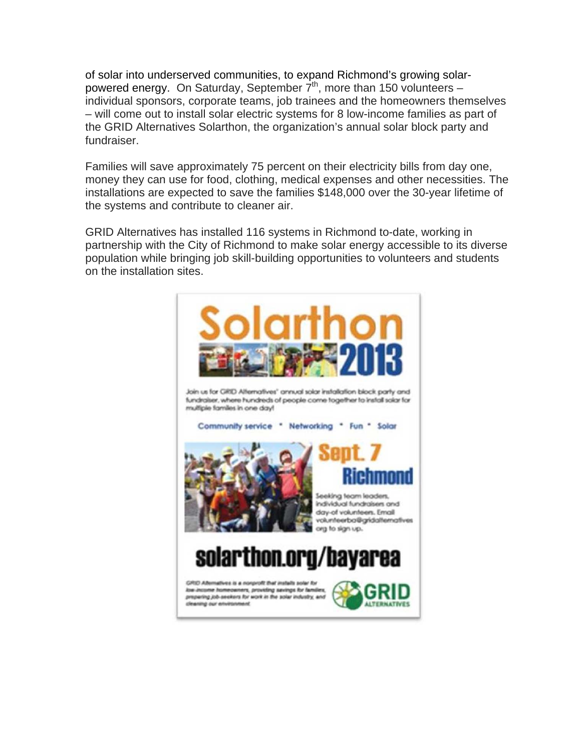of solar into underserved communities, to expand Richmond's growing solarpowered energy. On Saturday, September  $\overline{7}^{\text{th}}$ , more than 150 volunteers – individual sponsors, corporate teams, job trainees and the homeowners themselves – will come out to install solar electric systems for 8 low-income families as part of the GRID Alternatives Solarthon, the organization's annual solar block party and fundraiser.

Families will save approximately 75 percent on their electricity bills from day one, money they can use for food, clothing, medical expenses and other necessities. The installations are expected to save the families \$148,000 over the 30-year lifetime of the systems and contribute to cleaner air.

GRID Alternatives has installed 116 systems in Richmond to-date, working in partnership with the City of Richmond to make solar energy accessible to its diverse population while bringing job skill-building opportunities to volunteers and students on the installation sites.

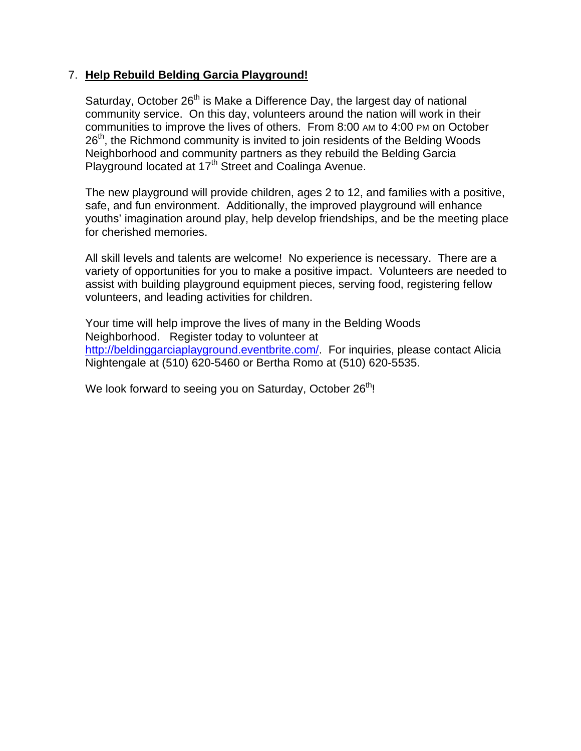## 7. **Help Rebuild Belding Garcia Playground!**

Saturday, October 26<sup>th</sup> is Make a Difference Day, the largest day of national community service. On this day, volunteers around the nation will work in their communities to improve the lives of others. From 8:00 AM to 4:00 PM on October 26<sup>th</sup>, the Richmond community is invited to join residents of the Belding Woods Neighborhood and community partners as they rebuild the Belding Garcia Playground located at 17<sup>th</sup> Street and Coalinga Avenue.

The new playground will provide children, ages 2 to 12, and families with a positive, safe, and fun environment. Additionally, the improved playground will enhance youths' imagination around play, help develop friendships, and be the meeting place for cherished memories.

All skill levels and talents are welcome! No experience is necessary. There are a variety of opportunities for you to make a positive impact. Volunteers are needed to assist with building playground equipment pieces, serving food, registering fellow volunteers, and leading activities for children.

Your time will help improve the lives of many in the Belding Woods Neighborhood. Register today to volunteer at http://beldinggarciaplayground.eventbrite.com/. For inquiries, please contact Alicia Nightengale at (510) 620-5460 or Bertha Romo at (510) 620-5535.

We look forward to seeing you on Saturday, October  $26<sup>th</sup>$ !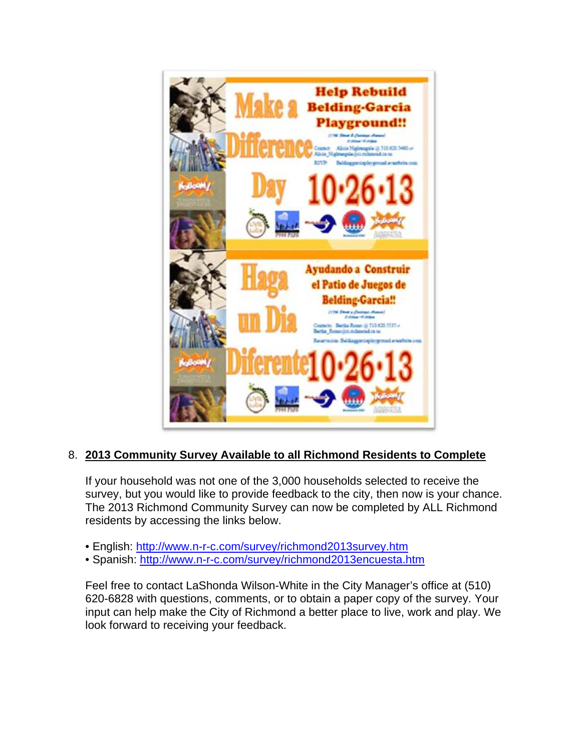

## 8. **2013 Community Survey Available to all Richmond Residents to Complete**

If your household was not one of the 3,000 households selected to receive the survey, but you would like to provide feedback to the city, then now is your chance. The 2013 Richmond Community Survey can now be completed by ALL Richmond residents by accessing the links below.

- English: http://www.n-r-c.com/survey/richmond2013survey.htm
- Spanish: http://www.n-r-c.com/survey/richmond2013encuesta.htm

Feel free to contact LaShonda Wilson-White in the City Manager's office at (510) 620-6828 with questions, comments, or to obtain a paper copy of the survey. Your input can help make the City of Richmond a better place to live, work and play. We look forward to receiving your feedback.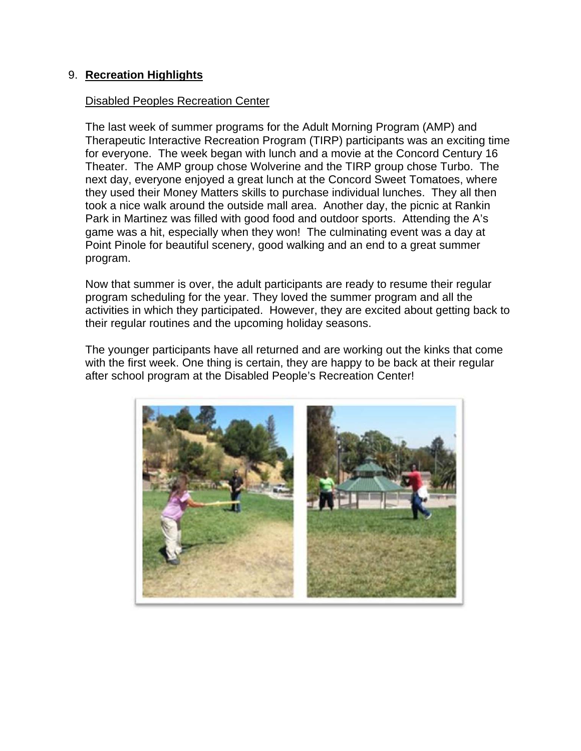### 9. **Recreation Highlights**

#### Disabled Peoples Recreation Center

The last week of summer programs for the Adult Morning Program (AMP) and Therapeutic Interactive Recreation Program (TIRP) participants was an exciting time for everyone. The week began with lunch and a movie at the Concord Century 16 Theater. The AMP group chose Wolverine and the TIRP group chose Turbo. The next day, everyone enjoyed a great lunch at the Concord Sweet Tomatoes, where they used their Money Matters skills to purchase individual lunches. They all then took a nice walk around the outside mall area. Another day, the picnic at Rankin Park in Martinez was filled with good food and outdoor sports. Attending the A's game was a hit, especially when they won! The culminating event was a day at Point Pinole for beautiful scenery, good walking and an end to a great summer program.

Now that summer is over, the adult participants are ready to resume their regular program scheduling for the year. They loved the summer program and all the activities in which they participated. However, they are excited about getting back to their regular routines and the upcoming holiday seasons.

The younger participants have all returned and are working out the kinks that come with the first week. One thing is certain, they are happy to be back at their regular after school program at the Disabled People's Recreation Center!

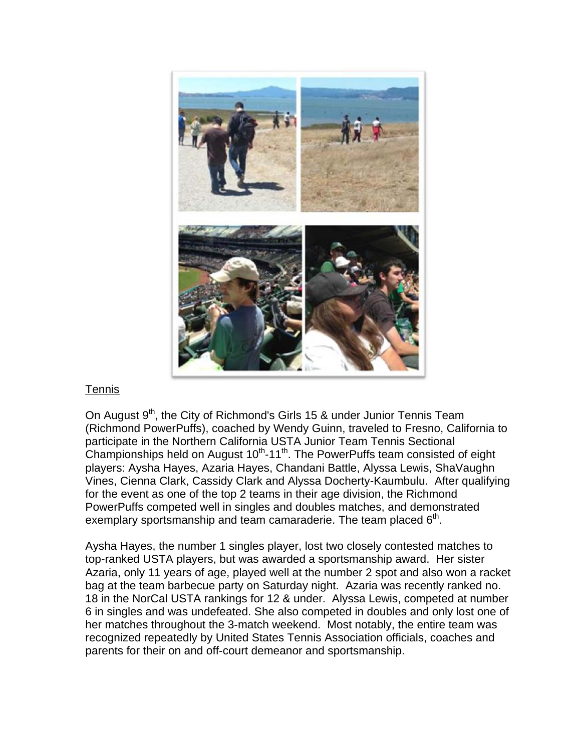

#### Tennis

On August 9<sup>th</sup>, the City of Richmond's Girls 15 & under Junior Tennis Team (Richmond PowerPuffs), coached by Wendy Guinn, traveled to Fresno, California to participate in the Northern California USTA Junior Team Tennis Sectional Championships held on August  $10<sup>th</sup>$ -11<sup>th</sup>. The PowerPuffs team consisted of eight players: Aysha Hayes, Azaria Hayes, Chandani Battle, Alyssa Lewis, ShaVaughn Vines, Cienna Clark, Cassidy Clark and Alyssa Docherty-Kaumbulu. After qualifying for the event as one of the top 2 teams in their age division, the Richmond PowerPuffs competed well in singles and doubles matches, and demonstrated exemplary sportsmanship and team camaraderie. The team placed  $6<sup>th</sup>$ .

Aysha Hayes, the number 1 singles player, lost two closely contested matches to top-ranked USTA players, but was awarded a sportsmanship award. Her sister Azaria, only 11 years of age, played well at the number 2 spot and also won a racket bag at the team barbecue party on Saturday night. Azaria was recently ranked no. 18 in the NorCal USTA rankings for 12 & under. Alyssa Lewis, competed at number 6 in singles and was undefeated. She also competed in doubles and only lost one of her matches throughout the 3-match weekend. Most notably, the entire team was recognized repeatedly by United States Tennis Association officials, coaches and parents for their on and off-court demeanor and sportsmanship.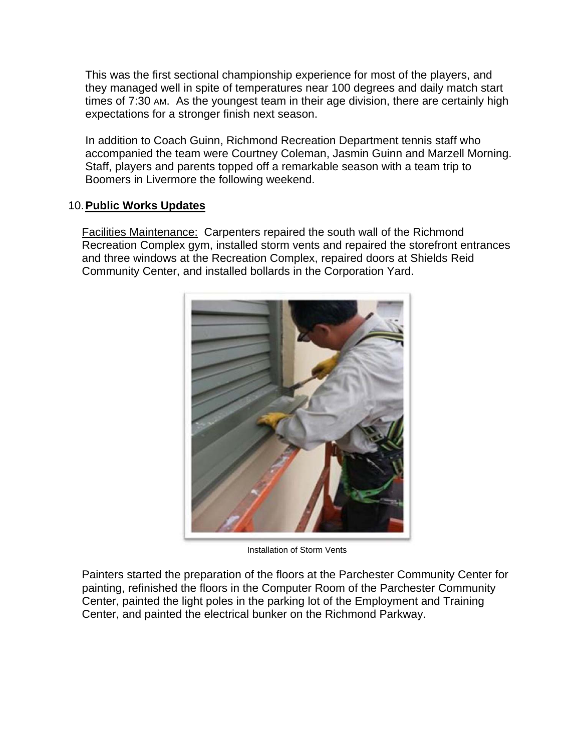This was the first sectional championship experience for most of the players, and they managed well in spite of temperatures near 100 degrees and daily match start times of 7:30 AM. As the youngest team in their age division, there are certainly high expectations for a stronger finish next season.

In addition to Coach Guinn, Richmond Recreation Department tennis staff who accompanied the team were Courtney Coleman, Jasmin Guinn and Marzell Morning. Staff, players and parents topped off a remarkable season with a team trip to Boomers in Livermore the following weekend.

## 10. **Public Works Updates**

Facilities Maintenance: Carpenters repaired the south wall of the Richmond Recreation Complex gym, installed storm vents and repaired the storefront entrances and three windows at the Recreation Complex, repaired doors at Shields Reid Community Center, and installed bollards in the Corporation Yard.



Installation of Storm Vents

Painters started the preparation of the floors at the Parchester Community Center for painting, refinished the floors in the Computer Room of the Parchester Community Center, painted the light poles in the parking lot of the Employment and Training Center, and painted the electrical bunker on the Richmond Parkway.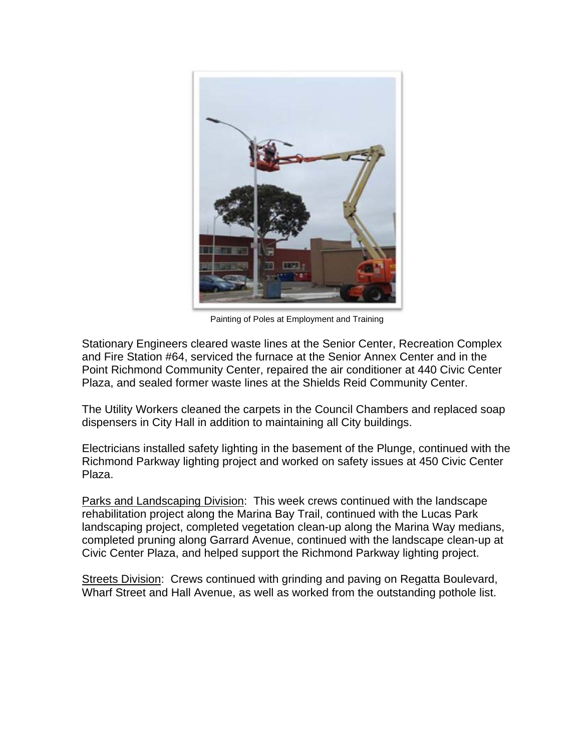

Painting of Poles at Employment and Training

Stationary Engineers cleared waste lines at the Senior Center, Recreation Complex and Fire Station #64, serviced the furnace at the Senior Annex Center and in the Point Richmond Community Center, repaired the air conditioner at 440 Civic Center Plaza, and sealed former waste lines at the Shields Reid Community Center.

The Utility Workers cleaned the carpets in the Council Chambers and replaced soap dispensers in City Hall in addition to maintaining all City buildings.

Electricians installed safety lighting in the basement of the Plunge, continued with the Richmond Parkway lighting project and worked on safety issues at 450 Civic Center Plaza.

Parks and Landscaping Division: This week crews continued with the landscape rehabilitation project along the Marina Bay Trail, continued with the Lucas Park landscaping project, completed vegetation clean-up along the Marina Way medians, completed pruning along Garrard Avenue, continued with the landscape clean-up at Civic Center Plaza, and helped support the Richmond Parkway lighting project.

Streets Division: Crews continued with grinding and paving on Regatta Boulevard, Wharf Street and Hall Avenue, as well as worked from the outstanding pothole list.